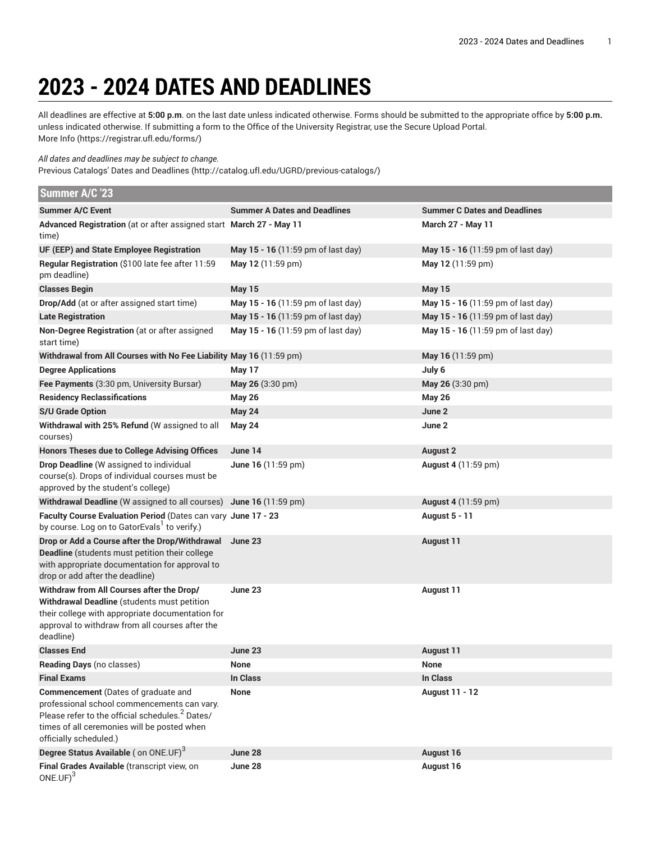## **2023 - 2024 DATES AND DEADLINES**

All deadlines are effective at **5:00 p.m**. on the last date unless indicated otherwise. Forms should be submitted to the appropriate office by **5:00 p.m.** unless indicated otherwise. If submitting a form to the Office of the University Registrar, use the Secure Upload Portal. [More](https://registrar.ufl.edu/forms/) Info [\(https://registrar.ufl.edu/forms/\)](https://registrar.ufl.edu/forms/)

*All dates and deadlines may be subject to change.*

Previous Catalogs' Dates and [Deadlines](http://catalog.ufl.edu/UGRD/previous-catalogs/) (<http://catalog.ufl.edu/UGRD/previous-catalogs/>)

| Summer A/C '23                                                                                                                                                                                                             |                                     |                                     |
|----------------------------------------------------------------------------------------------------------------------------------------------------------------------------------------------------------------------------|-------------------------------------|-------------------------------------|
| <b>Summer A/C Event</b>                                                                                                                                                                                                    | <b>Summer A Dates and Deadlines</b> | <b>Summer C Dates and Deadlines</b> |
| Advanced Registration (at or after assigned start March 27 - May 11<br>time)                                                                                                                                               |                                     | <b>March 27 - May 11</b>            |
| UF (EEP) and State Employee Registration                                                                                                                                                                                   | May 15 - 16 (11:59 pm of last day)  | May 15 - 16 (11:59 pm of last day)  |
| Regular Registration (\$100 late fee after 11:59<br>pm deadline)                                                                                                                                                           | May 12 (11:59 pm)                   | May 12 (11:59 pm)                   |
| <b>Classes Begin</b>                                                                                                                                                                                                       | <b>May 15</b>                       | <b>May 15</b>                       |
| Drop/Add (at or after assigned start time)                                                                                                                                                                                 | May 15 - 16 (11:59 pm of last day)  | May 15 - 16 (11:59 pm of last day)  |
| <b>Late Registration</b>                                                                                                                                                                                                   | May 15 - 16 (11:59 pm of last day)  | May 15 - 16 (11:59 pm of last day)  |
| Non-Degree Registration (at or after assigned<br>start time)                                                                                                                                                               | May 15 - 16 (11:59 pm of last day)  | May 15 - 16 (11:59 pm of last day)  |
| Withdrawal from All Courses with No Fee Liability May 16 (11:59 pm)                                                                                                                                                        |                                     | May 16 (11:59 pm)                   |
| <b>Degree Applications</b>                                                                                                                                                                                                 | May 17                              | July 6                              |
| Fee Payments (3:30 pm, University Bursar)                                                                                                                                                                                  | May 26 (3:30 pm)                    | May 26 (3:30 pm)                    |
| <b>Residency Reclassifications</b>                                                                                                                                                                                         | <b>May 26</b>                       | <b>May 26</b>                       |
| <b>S/U Grade Option</b>                                                                                                                                                                                                    | May 24                              | June 2                              |
| Withdrawal with 25% Refund (W assigned to all<br>courses)                                                                                                                                                                  | <b>May 24</b>                       | June 2                              |
| <b>Honors Theses due to College Advising Offices</b>                                                                                                                                                                       | June 14                             | <b>August 2</b>                     |
| Drop Deadline (W assigned to individual<br>course(s). Drops of individual courses must be<br>approved by the student's college)                                                                                            | June 16 (11:59 pm)                  | August 4 (11:59 pm)                 |
| Withdrawal Deadline (W assigned to all courses) June 16 (11:59 pm)                                                                                                                                                         |                                     | August 4 (11:59 pm)                 |
| Faculty Course Evaluation Period (Dates can vary June 17 - 23<br>by course. Log on to GatorEvals <sup>1</sup> to verify.)                                                                                                  |                                     | <b>August 5 - 11</b>                |
| Drop or Add a Course after the Drop/Withdrawal<br>Deadline (students must petition their college<br>with appropriate documentation for approval to<br>drop or add after the deadline)                                      | June 23                             | <b>August 11</b>                    |
| Withdraw from All Courses after the Drop/<br>Withdrawal Deadline (students must petition<br>their college with appropriate documentation for<br>approval to withdraw from all courses after the<br>deadline)               | June 23                             | <b>August 11</b>                    |
| <b>Classes End</b>                                                                                                                                                                                                         | June 23                             | <b>August 11</b>                    |
| Reading Days (no classes)                                                                                                                                                                                                  | <b>None</b>                         | <b>None</b>                         |
| <b>Final Exams</b>                                                                                                                                                                                                         | In Class                            | In Class                            |
| Commencement (Dates of graduate and<br>professional school commencements can vary.<br>Please refer to the official schedules. <sup>2</sup> Dates/<br>times of all ceremonies will be posted when<br>officially scheduled.) | <b>None</b>                         | <b>August 11 - 12</b>               |
| Degree Status Available (on ONE.UF) <sup>3</sup>                                                                                                                                                                           | June 28                             | August 16                           |
| Final Grades Available (transcript view, on<br>$ONE.UF)^3$                                                                                                                                                                 | June 28                             | August 16                           |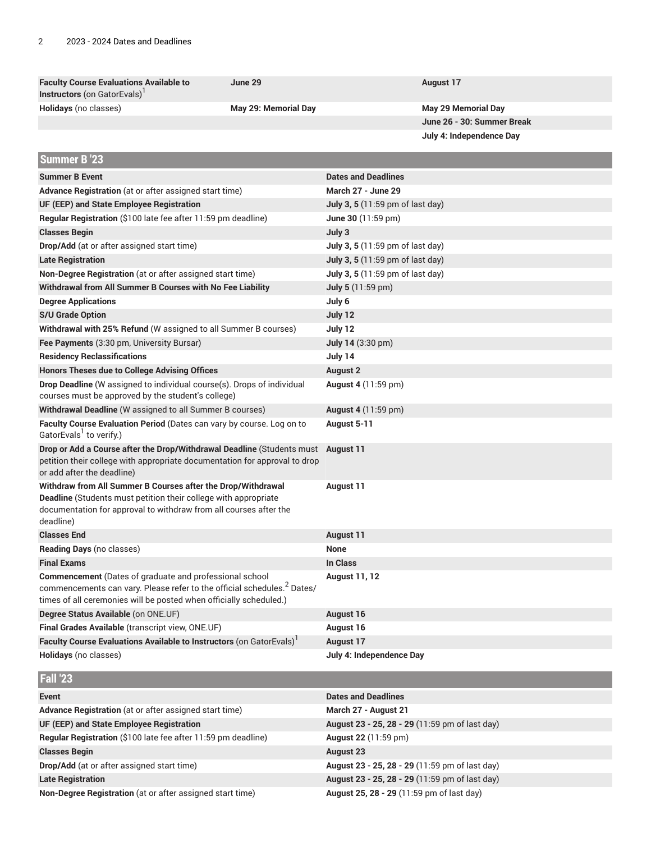| <b>Faculty Course Evaluations Available to</b><br>Instructors (on GatorEvals) <sup>1</sup>                                                                                                                                  | June 29              | <b>August 17</b>                               |
|-----------------------------------------------------------------------------------------------------------------------------------------------------------------------------------------------------------------------------|----------------------|------------------------------------------------|
| Holidays (no classes)                                                                                                                                                                                                       | May 29: Memorial Day | <b>May 29 Memorial Day</b>                     |
|                                                                                                                                                                                                                             |                      | June 26 - 30: Summer Break                     |
|                                                                                                                                                                                                                             |                      | July 4: Independence Day                       |
| Summer B '23                                                                                                                                                                                                                |                      |                                                |
| <b>Summer B Event</b>                                                                                                                                                                                                       |                      | <b>Dates and Deadlines</b>                     |
| Advance Registration (at or after assigned start time)                                                                                                                                                                      |                      | <b>March 27 - June 29</b>                      |
| UF (EEP) and State Employee Registration                                                                                                                                                                                    |                      | July 3, 5 (11:59 pm of last day)               |
| Regular Registration (\$100 late fee after 11:59 pm deadline)                                                                                                                                                               |                      | June 30 (11:59 pm)                             |
| <b>Classes Begin</b>                                                                                                                                                                                                        |                      | July 3                                         |
| Drop/Add (at or after assigned start time)                                                                                                                                                                                  |                      | July 3, 5 (11:59 pm of last day)               |
| <b>Late Registration</b>                                                                                                                                                                                                    |                      | July 3, 5 (11:59 pm of last day)               |
| Non-Degree Registration (at or after assigned start time)                                                                                                                                                                   |                      | July 3, 5 (11:59 pm of last day)               |
| Withdrawal from All Summer B Courses with No Fee Liability                                                                                                                                                                  |                      | <b>July 5</b> (11:59 pm)                       |
| <b>Degree Applications</b>                                                                                                                                                                                                  |                      | July 6                                         |
| <b>S/U Grade Option</b>                                                                                                                                                                                                     |                      | July 12                                        |
| Withdrawal with 25% Refund (W assigned to all Summer B courses)                                                                                                                                                             |                      | July 12                                        |
| Fee Payments (3:30 pm, University Bursar)                                                                                                                                                                                   |                      | July 14 (3:30 pm)                              |
| <b>Residency Reclassifications</b>                                                                                                                                                                                          |                      | July 14                                        |
| <b>Honors Theses due to College Advising Offices</b>                                                                                                                                                                        |                      | <b>August 2</b>                                |
| Drop Deadline (W assigned to individual course(s). Drops of individual                                                                                                                                                      |                      | <b>August 4 (11:59 pm)</b>                     |
| courses must be approved by the student's college)                                                                                                                                                                          |                      |                                                |
| Withdrawal Deadline (W assigned to all Summer B courses)                                                                                                                                                                    |                      | <b>August 4 (11:59 pm)</b>                     |
| Faculty Course Evaluation Period (Dates can vary by course. Log on to<br>GatorEvals <sup>1</sup> to verify.)                                                                                                                |                      | August 5-11                                    |
| Drop or Add a Course after the Drop/Withdrawal Deadline (Students must<br>petition their college with appropriate documentation for approval to drop<br>or add after the deadline)                                          |                      | <b>August 11</b>                               |
| Withdraw from All Summer B Courses after the Drop/Withdrawal<br><b>Deadline</b> (Students must petition their college with appropriate<br>documentation for approval to withdraw from all courses after the<br>deadline)    |                      | <b>August 11</b>                               |
| <b>Classes End</b>                                                                                                                                                                                                          |                      | <b>August 11</b>                               |
| Reading Days (no classes)                                                                                                                                                                                                   |                      | None                                           |
| <b>Final Exams</b>                                                                                                                                                                                                          |                      | In Class                                       |
| <b>Commencement</b> (Dates of graduate and professional school<br>commencements can vary. Please refer to the official schedules. <sup>2</sup> Dates/<br>times of all ceremonies will be posted when officially scheduled.) |                      | <b>August 11, 12</b>                           |
| Degree Status Available (on ONE.UF)                                                                                                                                                                                         |                      | August 16                                      |
| Final Grades Available (transcript view, ONE.UF)                                                                                                                                                                            |                      | August 16                                      |
| Faculty Course Evaluations Available to Instructors (on GatorEvals) <sup>1</sup>                                                                                                                                            |                      | <b>August 17</b>                               |
| Holidays (no classes)                                                                                                                                                                                                       |                      | July 4: Independence Day                       |
| <b>Fall '23</b>                                                                                                                                                                                                             |                      |                                                |
| Event                                                                                                                                                                                                                       |                      | <b>Dates and Deadlines</b>                     |
| Advance Registration (at or after assigned start time)                                                                                                                                                                      |                      | March 27 - August 21                           |
| UF (EEP) and State Employee Registration                                                                                                                                                                                    |                      | August 23 - 25, 28 - 29 (11:59 pm of last day) |
| Regular Registration (\$100 late fee after 11:59 pm deadline)                                                                                                                                                               |                      | August 22 (11:59 pm)                           |
| <b>Classes Begin</b>                                                                                                                                                                                                        |                      | <b>August 23</b>                               |
| Drop/Add (at or after assigned start time)                                                                                                                                                                                  |                      | August 23 - 25, 28 - 29 (11:59 pm of last day) |
| <b>Late Registration</b>                                                                                                                                                                                                    |                      | August 23 - 25, 28 - 29 (11:59 pm of last day) |
| Non-Degree Registration (at or after assigned start time)                                                                                                                                                                   |                      | August 25, 28 - 29 (11:59 pm of last day)      |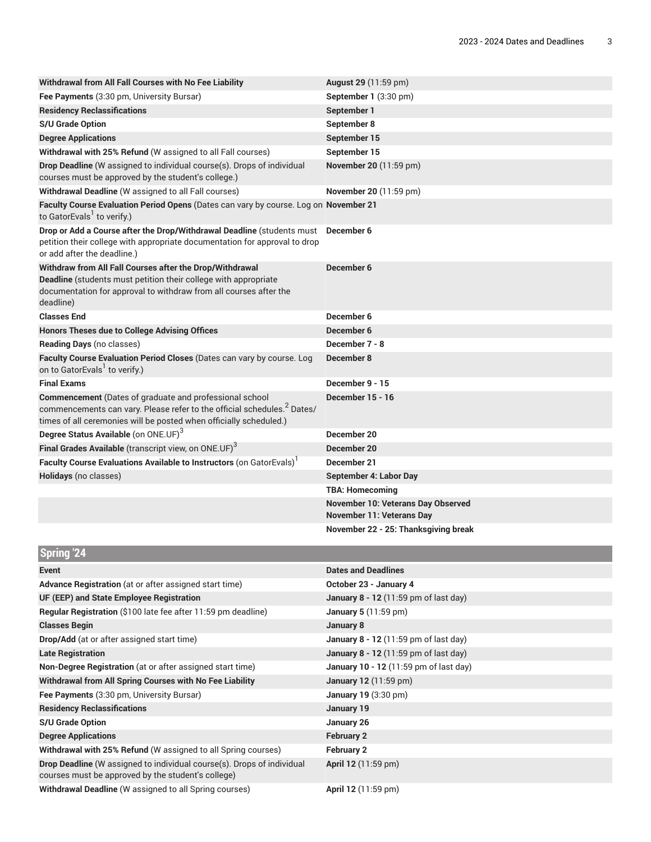| Withdrawal from All Fall Courses with No Fee Liability                                                                                                                                                                      | August 29 (11:59 pm)                                                   |
|-----------------------------------------------------------------------------------------------------------------------------------------------------------------------------------------------------------------------------|------------------------------------------------------------------------|
| Fee Payments (3:30 pm, University Bursar)                                                                                                                                                                                   | September 1 (3:30 pm)                                                  |
| <b>Residency Reclassifications</b>                                                                                                                                                                                          | September 1                                                            |
| <b>S/U Grade Option</b>                                                                                                                                                                                                     | September 8                                                            |
| <b>Degree Applications</b>                                                                                                                                                                                                  | September 15                                                           |
| Withdrawal with 25% Refund (W assigned to all Fall courses)                                                                                                                                                                 | September 15                                                           |
| Drop Deadline (W assigned to individual course(s). Drops of individual<br>courses must be approved by the student's college.)                                                                                               | November 20 (11:59 pm)                                                 |
| Withdrawal Deadline (W assigned to all Fall courses)                                                                                                                                                                        | November 20 (11:59 pm)                                                 |
| Faculty Course Evaluation Period Opens (Dates can vary by course. Log on November 21<br>to GatorEvals <sup>1</sup> to verify.)                                                                                              |                                                                        |
| Drop or Add a Course after the Drop/Withdrawal Deadline (students must<br>petition their college with appropriate documentation for approval to drop<br>or add after the deadline.)                                         | December 6                                                             |
| Withdraw from All Fall Courses after the Drop/Withdrawal<br>Deadline (students must petition their college with appropriate<br>documentation for approval to withdraw from all courses after the<br>deadline)               | December 6                                                             |
| <b>Classes End</b>                                                                                                                                                                                                          | December 6                                                             |
| <b>Honors Theses due to College Advising Offices</b>                                                                                                                                                                        | December 6                                                             |
| Reading Days (no classes)                                                                                                                                                                                                   | December 7 - 8                                                         |
| Faculty Course Evaluation Period Closes (Dates can vary by course. Log<br>on to GatorEvals <sup>1</sup> to verify.)                                                                                                         | December 8                                                             |
| <b>Final Exams</b>                                                                                                                                                                                                          | December 9 - 15                                                        |
| <b>Commencement</b> (Dates of graduate and professional school<br>commencements can vary. Please refer to the official schedules. <sup>2</sup> Dates/<br>times of all ceremonies will be posted when officially scheduled.) | December 15 - 16                                                       |
| Degree Status Available (on ONE.UF) <sup>3</sup>                                                                                                                                                                            | December 20                                                            |
| Final Grades Available (transcript view, on ONE.UF) <sup>3</sup>                                                                                                                                                            | December 20                                                            |
| Faculty Course Evaluations Available to Instructors (on GatorEvals)                                                                                                                                                         | December 21                                                            |
| Holidays (no classes)                                                                                                                                                                                                       | September 4: Labor Day                                                 |
|                                                                                                                                                                                                                             | <b>TBA: Homecoming</b>                                                 |
|                                                                                                                                                                                                                             | November 10: Veterans Day Observed<br><b>November 11: Veterans Day</b> |
|                                                                                                                                                                                                                             | November 22 - 25: Thanksgiving break                                   |
| <b>Spring '24</b>                                                                                                                                                                                                           |                                                                        |
| <b>Event</b>                                                                                                                                                                                                                | <b>Dates and Deadlines</b>                                             |
| Advance Registration (at or after assigned start time)                                                                                                                                                                      | October 23 - January 4                                                 |
| UF (EEP) and State Employee Registration                                                                                                                                                                                    | January 8 - 12 (11:59 pm of last day)                                  |
| Regular Registration (\$100 late fee after 11:59 pm deadline)                                                                                                                                                               | January 5 (11:59 pm)                                                   |
| <b>Classes Begin</b>                                                                                                                                                                                                        | January 8                                                              |
| Drop/Add (at or after assigned start time)                                                                                                                                                                                  | January 8 - 12 (11:59 pm of last day)                                  |
| <b>Late Registration</b>                                                                                                                                                                                                    | January 8 - 12 (11:59 pm of last day)                                  |
| Non-Degree Registration (at or after assigned start time)                                                                                                                                                                   | January 10 - 12 (11:59 pm of last day)                                 |
| Withdrawal from All Spring Courses with No Fee Liability                                                                                                                                                                    | <b>January 12</b> (11:59 pm)                                           |
| Fee Payments (3:30 pm, University Bursar)                                                                                                                                                                                   | January 19 (3:30 pm)                                                   |
| <b>Residency Reclassifications</b>                                                                                                                                                                                          | January 19                                                             |
| <b>S/U Grade Option</b>                                                                                                                                                                                                     | January 26                                                             |
| <b>Degree Applications</b>                                                                                                                                                                                                  | <b>February 2</b>                                                      |
| Withdrawal with 25% Refund (W assigned to all Spring courses)                                                                                                                                                               | February 2                                                             |
| Drop Deadline (W assigned to individual course(s). Drops of individual                                                                                                                                                      | April 12 (11:59 pm)                                                    |

**Drop Deadline** (W assigned to individual course(s). Drops of individual courses must be approved by the student's college)

**Withdrawal Deadline** (W assigned to all Spring courses) **April 12** (11:59 pm)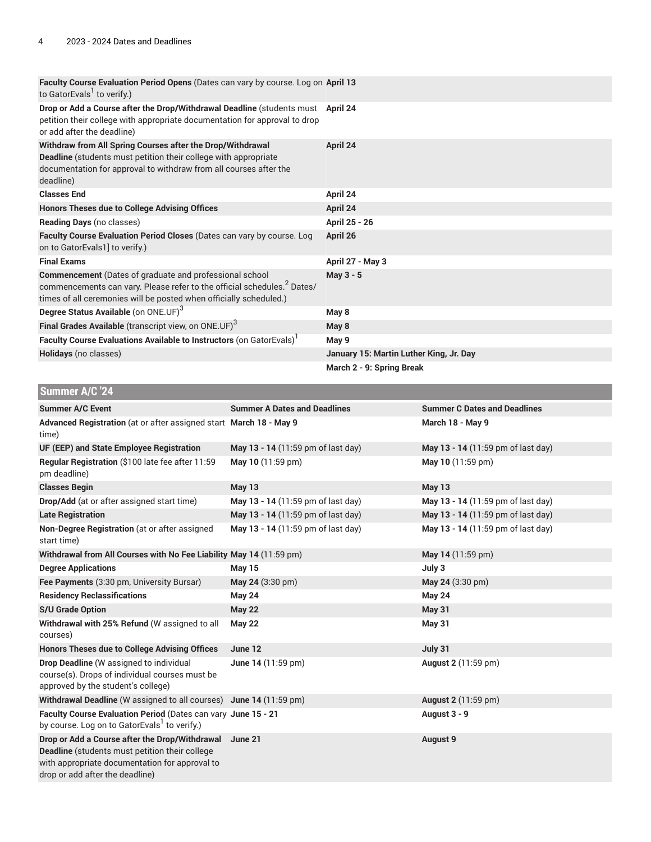| Faculty Course Evaluation Period Opens (Dates can vary by course. Log on April 13<br>to GatorEvals <sup>1</sup> to verify.)                                                                                                 |                                     |                                         |                                     |
|-----------------------------------------------------------------------------------------------------------------------------------------------------------------------------------------------------------------------------|-------------------------------------|-----------------------------------------|-------------------------------------|
| Drop or Add a Course after the Drop/Withdrawal Deadline (students must April 24<br>petition their college with appropriate documentation for approval to drop<br>or add after the deadline)                                 |                                     |                                         |                                     |
| Withdraw from All Spring Courses after the Drop/Withdrawal<br>Deadline (students must petition their college with appropriate<br>documentation for approval to withdraw from all courses after the<br>deadline)             |                                     | April 24                                |                                     |
| <b>Classes End</b>                                                                                                                                                                                                          |                                     | April 24                                |                                     |
| <b>Honors Theses due to College Advising Offices</b>                                                                                                                                                                        |                                     | April 24                                |                                     |
| Reading Days (no classes)                                                                                                                                                                                                   |                                     | April 25 - 26                           |                                     |
| Faculty Course Evaluation Period Closes (Dates can vary by course. Log<br>on to GatorEvals1] to verify.)                                                                                                                    |                                     | April 26                                |                                     |
| <b>Final Exams</b>                                                                                                                                                                                                          |                                     | April 27 - May 3                        |                                     |
| <b>Commencement</b> (Dates of graduate and professional school<br>commencements can vary. Please refer to the official schedules. <sup>2</sup> Dates/<br>times of all ceremonies will be posted when officially scheduled.) |                                     | May 3 - 5                               |                                     |
| Degree Status Available (on ONE.UF) <sup>3</sup>                                                                                                                                                                            |                                     | May 8                                   |                                     |
| Final Grades Available (transcript view, on ONE.UF) <sup>3</sup>                                                                                                                                                            |                                     | May 8                                   |                                     |
| Faculty Course Evaluations Available to Instructors (on GatorEvals)                                                                                                                                                         |                                     | May 9                                   |                                     |
| Holidays (no classes)                                                                                                                                                                                                       |                                     | January 15: Martin Luther King, Jr. Day |                                     |
|                                                                                                                                                                                                                             |                                     | March 2 - 9: Spring Break               |                                     |
| Summer A/C '24                                                                                                                                                                                                              |                                     |                                         |                                     |
| <b>Summer A/C Event</b>                                                                                                                                                                                                     | <b>Summer A Dates and Deadlines</b> |                                         | <b>Summer C Dates and Deadlines</b> |
| Advanced Registration (at or after assigned start March 18 - May 9<br>time)                                                                                                                                                 |                                     |                                         | March 18 - May 9                    |
| UF (EEP) and State Employee Registration                                                                                                                                                                                    | May 13 - 14 (11:59 pm of last day)  |                                         | May 13 - 14 (11:59 pm of last day)  |
| Regular Registration (\$100 late fee after 11:59<br>pm deadline)                                                                                                                                                            | May 10 (11:59 pm)                   |                                         | May 10 (11:59 pm)                   |
| <b>Classes Begin</b>                                                                                                                                                                                                        | May 13                              |                                         | <b>May 13</b>                       |
| Drop/Add (at or after assigned start time)                                                                                                                                                                                  | May 13 - 14 (11:59 pm of last day)  |                                         | May 13 - 14 (11:59 pm of last day)  |
| <b>Late Registration</b>                                                                                                                                                                                                    | May 13 - 14 (11:59 pm of last day)  |                                         | May 13 - 14 (11:59 pm of last day)  |
| Non-Degree Registration (at or after assigned                                                                                                                                                                               | May 13 - 14 (11:59 nm of last day)  |                                         | May 13 - 14 (11:59 nm of last day)  |

| OF (LLF) and State Linployee Registration                                                                                                                                                    | <b>IVIAY</b> 19 - 14 (11.95 pm of last day) | <b>IVIAY</b> 19 - 14 (11.95 pm of last day) |
|----------------------------------------------------------------------------------------------------------------------------------------------------------------------------------------------|---------------------------------------------|---------------------------------------------|
| Regular Registration (\$100 late fee after 11:59<br>pm deadline)                                                                                                                             | May 10 (11:59 pm)                           | May 10 (11:59 pm)                           |
| <b>Classes Begin</b>                                                                                                                                                                         | <b>May 13</b>                               | <b>May 13</b>                               |
| Drop/Add (at or after assigned start time)                                                                                                                                                   | May 13 - 14 (11:59 pm of last day)          | May 13 - 14 (11:59 pm of last day)          |
| <b>Late Registration</b>                                                                                                                                                                     | May 13 - 14 (11:59 pm of last day)          | May 13 - 14 (11:59 pm of last day)          |
| Non-Degree Registration (at or after assigned<br>start time)                                                                                                                                 | May 13 - 14 (11:59 pm of last day)          | May 13 - 14 (11:59 pm of last day)          |
| Withdrawal from All Courses with No Fee Liability May 14 (11:59 pm)                                                                                                                          |                                             | May 14 (11:59 pm)                           |
| <b>Degree Applications</b>                                                                                                                                                                   | <b>May 15</b>                               | July 3                                      |
| Fee Payments (3:30 pm, University Bursar)                                                                                                                                                    | May 24 (3:30 pm)                            | May 24 (3:30 pm)                            |
| <b>Residency Reclassifications</b>                                                                                                                                                           | <b>May 24</b>                               | <b>May 24</b>                               |
| <b>S/U Grade Option</b>                                                                                                                                                                      | <b>May 22</b>                               | <b>May 31</b>                               |
| Withdrawal with 25% Refund (W assigned to all<br>courses)                                                                                                                                    | <b>May 22</b>                               | <b>May 31</b>                               |
| <b>Honors Theses due to College Advising Offices</b>                                                                                                                                         | June 12                                     | July 31                                     |
| <b>Drop Deadline</b> (W assigned to individual<br>course(s). Drops of individual courses must be<br>approved by the student's college)                                                       | June 14 (11:59 pm)                          | <b>August 2</b> (11:59 pm)                  |
| Withdrawal Deadline (W assigned to all courses) June 14 (11:59 pm)                                                                                                                           |                                             | <b>August 2</b> (11:59 pm)                  |
| Faculty Course Evaluation Period (Dates can vary June 15 - 21<br>by course. Log on to GatorEvals <sup>1</sup> to verify.)                                                                    |                                             | August 3 - 9                                |
| Drop or Add a Course after the Drop/Withdrawal<br><b>Deadline</b> (students must petition their college<br>with appropriate documentation for approval to<br>drop or add after the deadline) | June 21                                     | <b>August 9</b>                             |
|                                                                                                                                                                                              |                                             |                                             |